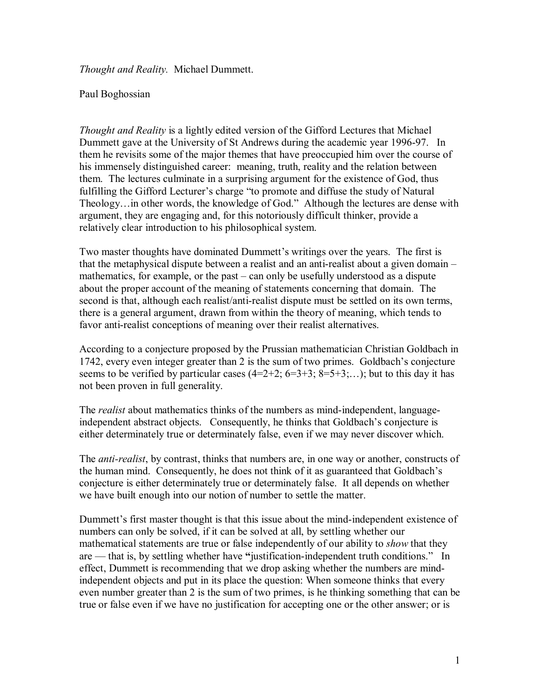*Thought and Reality.* Michael Dummett.

## Paul Boghossian

*Thought and Reality* is a lightly edited version of the Gifford Lectures that Michael Dummett gave at the University of St Andrews during the academic year 1996-97. In them he revisits some of the major themes that have preoccupied him over the course of his immensely distinguished career: meaning, truth, reality and the relation between them. The lectures culminate in a surprising argument for the existence of God, thus fulfilling the Gifford Lecturer's charge "to promote and diffuse the study of Natural Theology…in other words, the knowledge of God." Although the lectures are dense with argument, they are engaging and, for this notoriously difficult thinker, provide a relatively clear introduction to his philosophical system.

Two master thoughts have dominated Dummett's writings over the years. The first is that the metaphysical dispute between a realist and an anti-realist about a given domain – mathematics, for example, or the past – can only be usefully understood as a dispute about the proper account of the meaning of statements concerning that domain. The second is that, although each realist/anti-realist dispute must be settled on its own terms, there is a general argument, drawn from within the theory of meaning, which tends to favor anti-realist conceptions of meaning over their realist alternatives.

According to a conjecture proposed by the Prussian mathematician Christian Goldbach in 1742, every even integer greater than 2 is the sum of two primes. Goldbach's conjecture seems to be verified by particular cases  $(4=2+2; 6=3+3; 8=5+3; \ldots)$ ; but to this day it has not been proven in full generality.

The *realist* about mathematics thinks of the numbers as mind-independent, languageindependent abstract objects. Consequently, he thinks that Goldbach's conjecture is either determinately true or determinately false, even if we may never discover which.

The *anti-realist*, by contrast, thinks that numbers are, in one way or another, constructs of the human mind. Consequently, he does not think of it as guaranteed that Goldbach's conjecture is either determinately true or determinately false. It all depends on whether we have built enough into our notion of number to settle the matter.

Dummett's first master thought is that this issue about the mind-independent existence of numbers can only be solved, if it can be solved at all, by settling whether our mathematical statements are true or false independently of our ability to *show* that they are — that is, by settling whether have **"**justification-independent truth conditions." In effect, Dummett is recommending that we drop asking whether the numbers are mindindependent objects and put in its place the question: When someone thinks that every even number greater than 2 is the sum of two primes, is he thinking something that can be true or false even if we have no justification for accepting one or the other answer; or is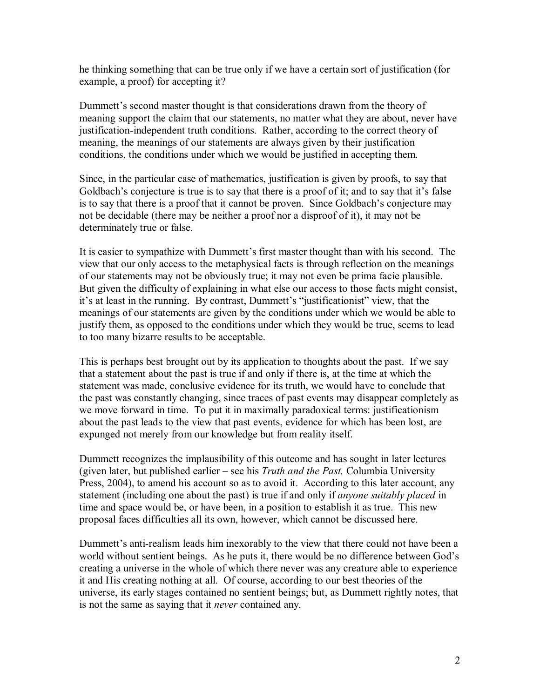he thinking something that can be true only if we have a certain sort of justification (for example, a proof) for accepting it?

Dummett's second master thought is that considerations drawn from the theory of meaning support the claim that our statements, no matter what they are about, never have justification-independent truth conditions. Rather, according to the correct theory of meaning, the meanings of our statements are always given by their justification conditions, the conditions under which we would be justified in accepting them.

Since, in the particular case of mathematics, justification is given by proofs, to say that Goldbach's conjecture is true is to say that there is a proof of it; and to say that it's false is to say that there is a proof that it cannot be proven. Since Goldbach's conjecture may not be decidable (there may be neither a proof nor a disproof of it), it may not be determinately true or false.

It is easier to sympathize with Dummett's first master thought than with his second. The view that our only access to the metaphysical facts is through reflection on the meanings of our statements may not be obviously true; it may not even be prima facie plausible. But given the difficulty of explaining in what else our access to those facts might consist, it's at least in the running. By contrast, Dummett's "justificationist" view, that the meanings of our statements are given by the conditions under which we would be able to justify them, as opposed to the conditions under which they would be true, seems to lead to too many bizarre results to be acceptable.

This is perhaps best brought out by its application to thoughts about the past. If we say that a statement about the past is true if and only if there is, at the time at which the statement was made, conclusive evidence for its truth, we would have to conclude that the past was constantly changing, since traces of past events may disappear completely as we move forward in time. To put it in maximally paradoxical terms: justificationism about the past leads to the view that past events, evidence for which has been lost, are expunged not merely from our knowledge but from reality itself.

Dummett recognizes the implausibility of this outcome and has sought in later lectures (given later, but published earlier – see his *Truth and the Past,* Columbia University Press, 2004), to amend his account so as to avoid it. According to this later account, any statement (including one about the past) is true if and only if *anyone suitably placed* in time and space would be, or have been, in a position to establish it as true. This new proposal faces difficulties all its own, however, which cannot be discussed here.

Dummett's anti-realism leads him inexorably to the view that there could not have been a world without sentient beings. As he puts it, there would be no difference between God's creating a universe in the whole of which there never was any creature able to experience it and His creating nothing at all. Of course, according to our best theories of the universe, its early stages contained no sentient beings; but, as Dummett rightly notes, that is not the same as saying that it *never* contained any.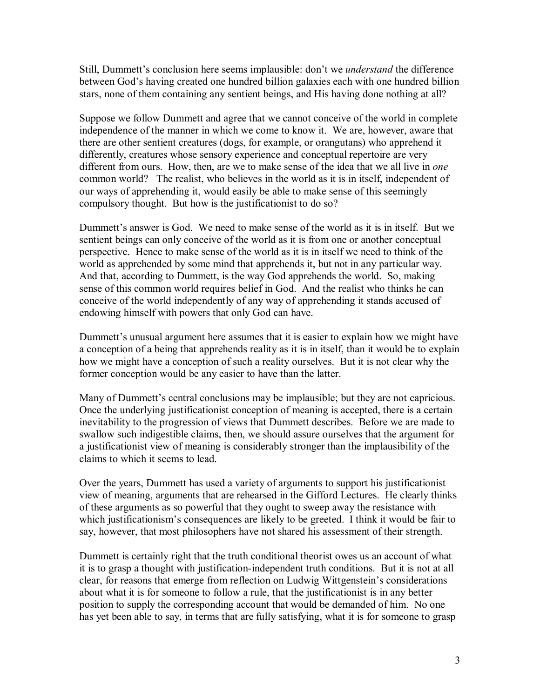Still, Dummett's conclusion here seems implausible: don't we *understand* the difference between God's having created one hundred billion galaxies each with one hundred billion stars, none of them containing any sentient beings, and His having done nothing at all?

Suppose we follow Dummett and agree that we cannot conceive of the world in complete independence of the manner in which we come to know it. We are, however, aware that there are other sentient creatures (dogs, for example, or orangutans) who apprehend it differently, creatures whose sensory experience and conceptual repertoire are very different from ours. How, then, are we to make sense of the idea that we all live in *one* common world? The realist, who believes in the world as it is in itself, independent of our ways of apprehending it, would easily be able to make sense of this seemingly compulsory thought. But how is the justificationist to do so?

Dummett's answer is God. We need to make sense of the world as it is in itself. But we sentient beings can only conceive of the world as it is from one or another conceptual perspective. Hence to make sense of the world as it is in itself we need to think of the world as apprehended by some mind that apprehends it, but not in any particular way. And that, according to Dummett, is the way God apprehends the world. So, making sense of this common world requires belief in God. And the realist who thinks he can conceive of the world independently of any way of apprehending it stands accused of endowing himself with powers that only God can have.

Dummett's unusual argument here assumes that it is easier to explain how we might have a conception of a being that apprehends reality as it is in itself, than it would be to explain how we might have a conception of such a reality ourselves. But it is not clear why the former conception would be any easier to have than the latter.

Many of Dummett's central conclusions may be implausible; but they are not capricious. Once the underlying justificationist conception of meaning is accepted, there is a certain inevitability to the progression of views that Dummett describes. Before we are made to swallow such indigestible claims, then, we should assure ourselves that the argument for a justificationist view of meaning is considerably stronger than the implausibility of the claims to which it seems to lead.

Over the years, Dummett has used a variety of arguments to support his justificationist view of meaning, arguments that are rehearsed in the Gifford Lectures. He clearly thinks of these arguments as so powerful that they ought to sweep away the resistance with which justificationism's consequences are likely to be greeted. I think it would be fair to say, however, that most philosophers have not shared his assessment of their strength.

Dummett is certainly right that the truth conditional theorist owes us an account of what it is to grasp a thought with justification-independent truth conditions. But it is not at all clear, for reasons that emerge from reflection on Ludwig Wittgenstein's considerations about what it is for someone to follow a rule, that the justificationist is in any better position to supply the corresponding account that would be demanded of him. No one has yet been able to say, in terms that are fully satisfying, what it is for someone to grasp